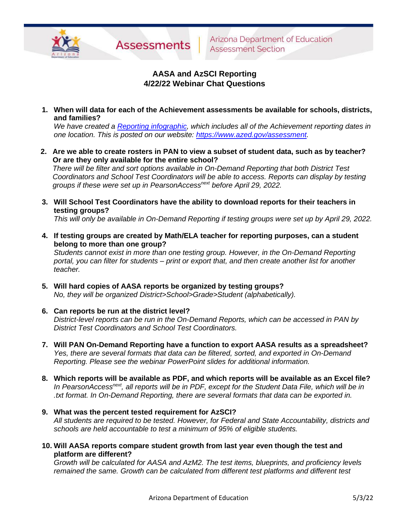

# **AASA and AzSCI Reporting 4/22/22 Webinar Chat Questions**

**1. When will data for each of the Achievement assessments be available for schools, districts, and families?**

*We have created a [Reporting infographic,](https://www.azed.gov/sites/default/files/2022/05/Achievement%20Assessment%20Reporting%20Spring%202022.pdf) which includes all of the Achievement reporting dates in one location. This is posted on our website: [https://www.azed.gov/assessment.](https://www.azed.gov/assessment)* 

**2. Are we able to create rosters in PAN to view a subset of student data, such as by teacher? Or are they only available for the entire school?**

*There will be filter and sort options available in On-Demand Reporting that both District Test Coordinators and School Test Coordinators will be able to access. Reports can display by testing groups if these were set up in PearsonAccessnext before April 29, 2022.*

**3. Will School Test Coordinators have the ability to download reports for their teachers in testing groups?**

*This will only be available in On-Demand Reporting if testing groups were set up by April 29, 2022.*

**4. If testing groups are created by Math/ELA teacher for reporting purposes, can a student belong to more than one group?**

*Students cannot exist in more than one testing group. However, in the On-Demand Reporting portal, you can filter for students – print or export that, and then create another list for another teacher.*

- **5. Will hard copies of AASA reports be organized by testing groups?** *No, they will be organized District>School>Grade>Student (alphabetically).*
- **6. Can reports be run at the district level?**

*District-level reports can be run in the On-Demand Reports, which can be accessed in PAN by District Test Coordinators and School Test Coordinators.*

- **7. Will PAN On-Demand Reporting have a function to export AASA results as a spreadsheet?** *Yes, there are several formats that data can be filtered, sorted, and exported in On-Demand Reporting. Please see the webinar PowerPoint slides for additional information.*
- **8. Which reports will be available as PDF, and which reports will be available as an Excel file?** *In PearsonAccessnext , all reports will be in PDF, except for the Student Data File, which will be in .txt format. In On-Demand Reporting, there are several formats that data can be exported in.*
- **9. What was the percent tested requirement for AzSCI?** *All students are required to be tested. However, for Federal and State Accountability, districts and schools are held accountable to test a minimum of 95% of eligible students.*
- **10. Will AASA reports compare student growth from last year even though the test and platform are different?**

*Growth will be calculated for AASA and AzM2. The test items, blueprints, and proficiency levels remained the same. Growth can be calculated from different test platforms and different test*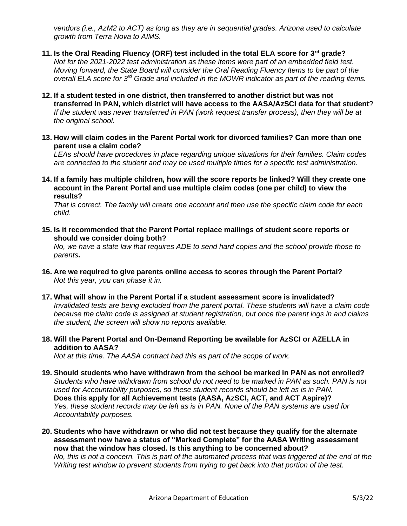*vendors (i.e., AzM2 to ACT) as long as they are in sequential grades. Arizona used to calculate growth from Terra Nova to AIMS.*

- **11. Is the Oral Reading Fluency (ORF) test included in the total ELA score for 3rd grade?** *Not for the 2021-2022 test administration as these items were part of an embedded field test. Moving forward, the State Board will consider the Oral Reading Fluency Items to be part of the overall ELA score for 3rd Grade and included in the MOWR indicator as part of the reading items.*
- **12. If a student tested in one district, then transferred to another district but was not transferred in PAN, which district will have access to the AASA/AzSCI data for that student**? *If the student was never transferred in PAN (work request transfer process), then they will be at the original school.*
- **13. How will claim codes in the Parent Portal work for divorced families? Can more than one parent use a claim code?**

*LEAs should have procedures in place regarding unique situations for their families. Claim codes are connected to the student and may be used multiple times for a specific test administration.*

**14. If a family has multiple children, how will the score reports be linked? Will they create one account in the Parent Portal and use multiple claim codes (one per child) to view the results?**

*That is correct. The family will create one account and then use the specific claim code for each child.*

**15. Is it recommended that the Parent Portal replace mailings of student score reports or should we consider doing both?**

*No, we have a state law that requires ADE to send hard copies and the school provide those to parents***.**

- **16. Are we required to give parents online access to scores through the Parent Portal?** *Not this year, you can phase it in.*
- **17. What will show in the Parent Portal if a student assessment score is invalidated?** *Invalidated tests are being excluded from the parent portal. These students will have a claim code because the claim code is assigned at student registration, but once the parent logs in and claims the student, the screen will show no reports available.*
- **18. Will the Parent Portal and On-Demand Reporting be available for AzSCI or AZELLA in addition to AASA?**

*Not at this time. The AASA contract had this as part of the scope of work.*

- **19. Should students who have withdrawn from the school be marked in PAN as not enrolled?** *Students who have withdrawn from school do not need to be marked in PAN as such. PAN is not used for Accountability purposes, so these student records should be left as is in PAN.* **Does this apply for all Achievement tests (AASA, AzSCI, ACT, and ACT Aspire)?** *Yes, these student records may be left as is in PAN. None of the PAN systems are used for Accountability purposes.*
- **20. Students who have withdrawn or who did not test because they qualify for the alternate assessment now have a status of "Marked Complete" for the AASA Writing assessment now that the window has closed. Is this anything to be concerned about?** *No, this is not a concern. This is part of the automated process that was triggered at the end of the Writing test window to prevent students from trying to get back into that portion of the test.*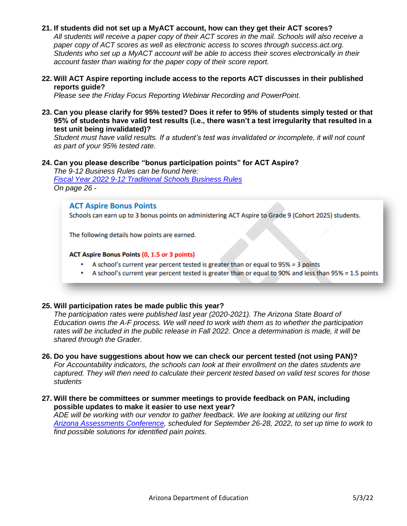## **21. If students did not set up a MyACT account, how can they get their ACT scores?**

*All students will receive a paper copy of their ACT scores in the mail. Schools will also receive a paper copy of ACT scores as well as electronic access to scores through success.act.org. Students who set up a MyACT account will be able to access their scores electronically in their account faster than waiting for the paper copy of their score report.*

**22. Will ACT Aspire reporting include access to the reports ACT discusses in their published reports guide?**

*Please see the Friday Focus Reporting Webinar Recording and PowerPoint.* 

**23. Can you please clarify for 95% tested? Does it refer to 95% of students simply tested or that 95% of students have valid test results (i.e., there wasn't a test irregularity that resulted in a test unit being invalidated)?**

*Student must have valid results. If a student's test was invalidated or incomplete, it will not count as part of your 95% tested rate.*

# **24. Can you please describe "bonus participation points" for ACT Aspire?**

*The 9-12 Business Rules can be found here: Fiscal Year 2022 [9-12 Traditional Schools Business Rules](https://www.azed.gov/sites/default/files/2022/02/2022%209-12%20Traditional%20Schools%20Business%20Rules%20Draft.pdf) On page 26 -*

### **ACT Aspire Bonus Points**

Schools can earn up to 3 bonus points on administering ACT Aspire to Grade 9 (Cohort 2025) students.

The following details how points are earned.

#### **ACT Aspire Bonus Points (0, 1.5 or 3 points)**

- A school's current year percent tested is greater than or equal to  $95\% = 3$  points
- A school's current year percent tested is greater than or equal to 90% and less than 95% = 1.5 points

### **25. Will participation rates be made public this year?**

*The participation rates were published last year (2020-2021). The Arizona State Board of Education owns the A-F process. We will need to work with them as to whether the participation*  rates will be included in the public release in Fall 2022. Once a determination is made, it will be *shared through the Grader.* 

- **26. Do you have suggestions about how we can check our percent tested (not using PAN)?** *For Accountability indicators, the schools can look at their enrollment on the dates students are captured. They will then need to calculate their percent tested based on valid test scores for those students*
- **27. Will there be committees or summer meetings to provide feedback on PAN, including possible updates to make it easier to use next year?**

*ADE will be working with our vendor to gather feedback. We are looking at utilizing our first [Arizona Assessments Conference,](https://www.azed.gov/assessment/conference) scheduled for September 26-28, 2022, to set up time to work to find possible solutions for identified pain points.*